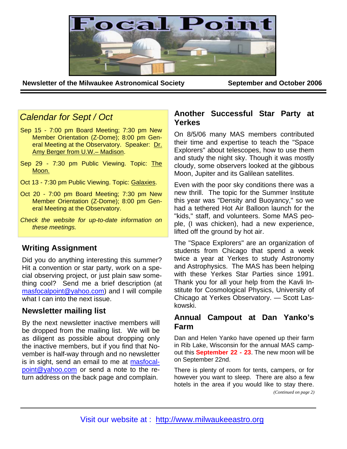

**Newsletter of the Milwaukee Astronomical Society September and October 2006** 

# *Calendar for Sept / Oct*

- Sep 15 7:00 pm Board Meeting; 7:30 pm New Member Orientation (Z-Dome); 8:00 pm General Meeting at the Observatory. Speaker: Dr. Amy Berger from U.W.– Madison.
- Sep 29 7:30 pm Public Viewing. Topic: The Moon.
- Oct 13 7:30 pm Public Viewing. Topic: Galaxies.
- Oct 20 7:00 pm Board Meeting; 7:30 pm New Member Orientation (Z-Dome); 8:00 pm General Meeting at the Observatory.
- *Check the website for up-to-date information on these meetings.*

# **Writing Assignment**

Did you do anything interesting this summer? Hit a convention or star party, work on a special observing project, or just plain saw something cool? Send me a brief description (at masfocalpoint@yahoo.com) and I will compile what I can into the next issue.

# **Newsletter mailing list**

By the next newsletter inactive members will be dropped from the mailing list. We will be as diligent as possible about dropping only the inactive members, but if you find that November is half-way through and no newsletter is in sight, send an email to me at masfocalpoint@yahoo.com or send a note to the return address on the back page and complain.

## **Another Successful Star Party at Yerkes**

On 8/5/06 many MAS members contributed their time and expertise to teach the "Space Explorers" about telescopes, how to use them and study the night sky. Though it was mostly cloudy, some observers looked at the gibbous Moon, Jupiter and its Galilean satellites.

Even with the poor sky conditions there was a new thrill. The topic for the Summer Institute this year was "Density and Buoyancy," so we had a tethered Hot Air Balloon launch for the "kids," staff, and volunteers. Some MAS people, (I was chicken), had a new experience, lifted off the ground by hot air.

The "Space Explorers" are an organization of students from Chicago that spend a week twice a year at Yerkes to study Astronomy and Astrophysics. The MAS has been helping with these Yerkes Star Parties since 1991. Thank you for all your help from the Kavli Institute for Cosmological Physics, University of Chicago at Yerkes Observatory. — Scott Laskowski.

## **Annual Campout at Dan Yanko's Farm**

Dan and Helen Yanko have opened up their farm in Rib Lake, Wisconsin for the annual MAS campout this **September 22 - 23**. The new moon will be on September 22nd.

There is plenty of room for tents, campers, or for however you want to sleep. There are also a few hotels in the area if you would like to stay there.

*(Continued on page 2)*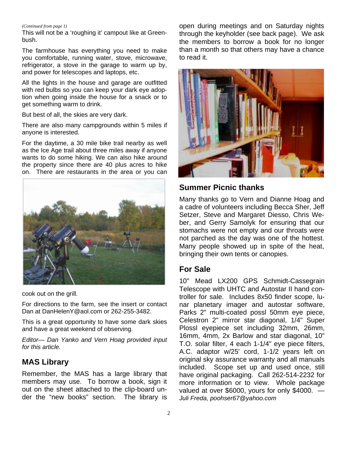#### *(Continued from page 1)*

This will not be a 'roughing it' campout like at Greenbush.

The farmhouse has everything you need to make you comfortable, running water, stove, microwave, refrigerator, a stove in the garage to warm up by, and power for telescopes and laptops, etc.

All the lights in the house and garage are outfitted with red bulbs so you can keep your dark eye adoption when going inside the house for a snack or to get something warm to drink.

But best of all, the skies are very dark.

There are also many campgrounds within 5 miles if anyone is interested.

For the daytime, a 30 mile bike trail nearby as well as the Ice Age trail about three miles away if anyone wants to do some hiking. We can also hike around the property since there are 40 plus acres to hike on. There are restaurants in the area or you can



cook out on the grill.

For directions to the farm, see the insert or contact Dan at DanHelenY@aol.com or 262-255-3482.

This is a great opportunity to have some dark skies and have a great weekend of observing.

*Editor— Dan Yanko and Vern Hoag provided input for this article.*

## **MAS Library**

Remember, the MAS has a large library that members may use. To borrow a book, sign it out on the sheet attached to the clip-board under the "new books" section. The library is

open during meetings and on Saturday nights through the keyholder (see back page). We ask the members to borrow a book for no longer than a month so that others may have a chance to read it.



## **Summer Picnic thanks**

Many thanks go to Vern and Dianne Hoag and a cadre of volunteers including Becca Sher, Jeff Setzer, Steve and Margaret Diesso, Chris Weber, and Gerry Samolyk for ensuring that our stomachs were not empty and our throats were not parched as the day was one of the hottest. Many people showed up in spite of the heat, bringing their own tents or canopies.

## **For Sale**

10" Mead LX200 GPS Schmidt-Cassegrain Telescope with UHTC and Autostar II hand controller for sale. Includes 8x50 finder scope, lunar planetary imager and autostar software, Parks 2" multi-coated possl 50mm eye piece, Celestron 2" mirror star diagonal, 1/4" Super Plossl eyepiece set including 32mm, 26mm, 16mm, 4mm, 2x Barlow and star diagonal, 10" T.O. solar filter, 4 each 1-1/4" eye piece filters, A.C. adaptor w/25' cord, 1-1/2 years left on original sky assurance warranty and all manuals included. Scope set up and used once, still have original packaging. Call 262-514-2232 for more information or to view. Whole package valued at over \$6000, yours for only \$4000. — *Juli Freda, poohser67@yahoo.com*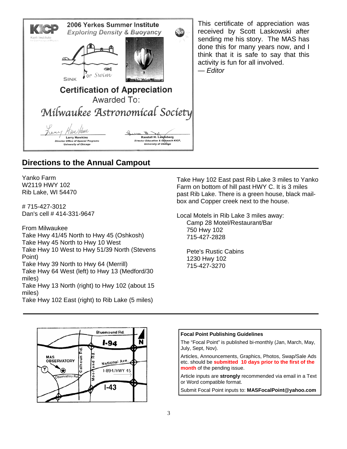

This certificate of appreciation was received by Scott Laskowski after sending me his story. The MAS has done this for many years now, and I think that it is safe to say that this activity is fun for all involved. — *Editor*

# **Directions to the Annual Campout**

Yanko Farm W2119 HWY 102 Rib Lake, WI 54470

# 715-427-3012 Dan's cell # 414-331-9647

From Milwaukee Take Hwy 41/45 North to Hwy 45 (Oshkosh) Take Hwy 45 North to Hwy 10 West Take Hwy 10 West to Hwy 51/39 North (Stevens Point) Take Hwy 39 North to Hwy 64 (Merrill) Take Hwy 64 West (left) to Hwy 13 (Medford/30 miles)

Take Hwy 13 North (right) to Hwy 102 (about 15 miles)

Take Hwy 102 East (right) to Rib Lake (5 miles)

Take Hwy 102 East past Rib Lake 3 miles to Yanko Farm on bottom of hill past HWY C. It is 3 miles past Rib Lake. There is a green house, black mailbox and Copper creek next to the house.

Local Motels in Rib Lake 3 miles away: Camp 28 Motel/Restaurant/Bar 750 Hwy 102 715-427-2828

Pete's Rustic Cabins 1230 Hwy 102 715-427-3270



#### **Focal Point Publishing Guidelines**

The "Focal Point" is published bi-monthly (Jan, March, May, July, Sept, Nov).

Articles, Announcements, Graphics, Photos, Swap/Sale Ads etc. should be **submitted 10 days prior to the first of the month** of the pending issue.

Article inputs are **strongly** recommended via email in a Text or Word compatible format.

Submit Focal Point inputs to: **MASFocalPoint@yahoo.com**